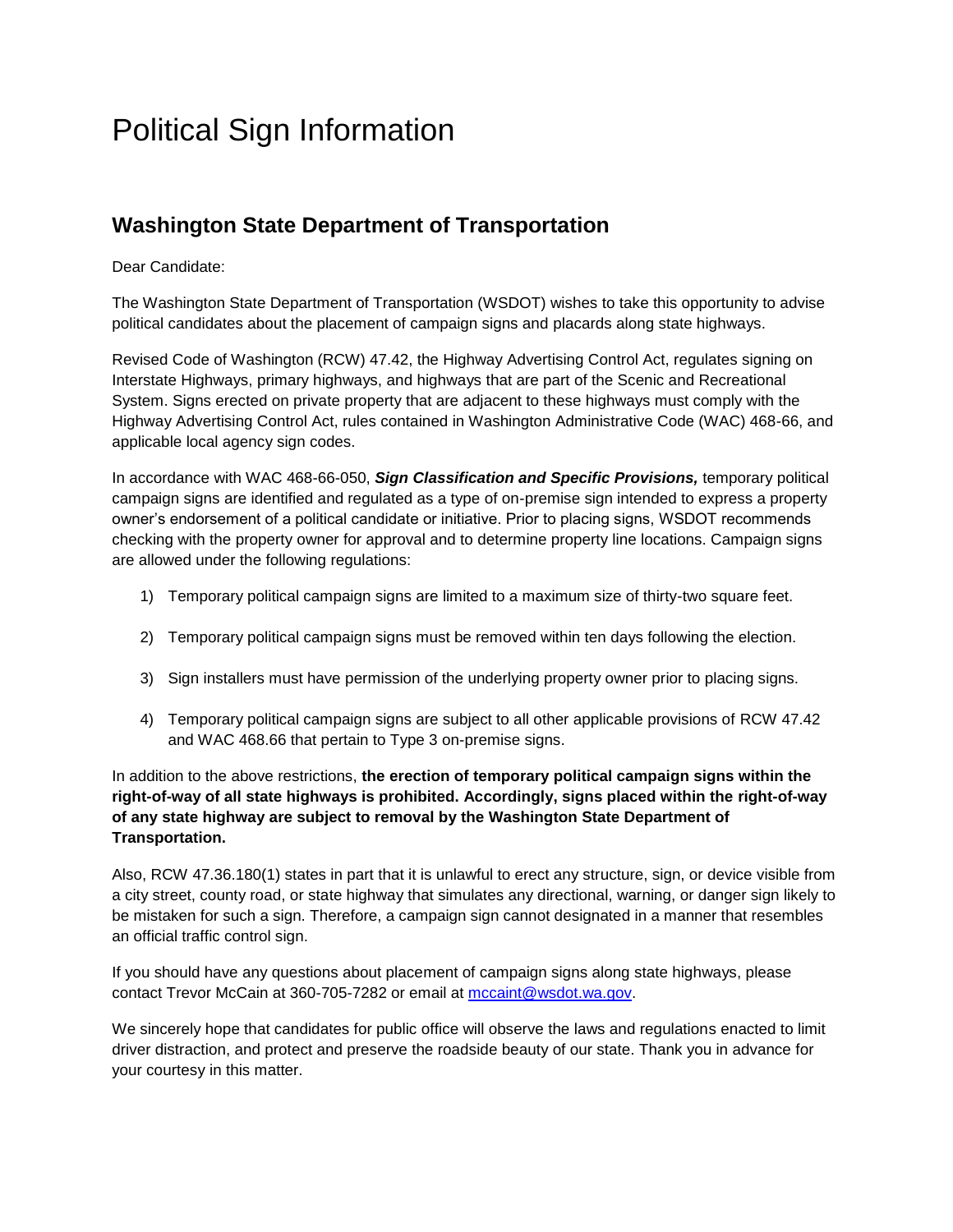# Political Sign Information

## **Washington State Department of Transportation**

Dear Candidate:

The Washington State Department of Transportation (WSDOT) wishes to take this opportunity to advise political candidates about the placement of campaign signs and placards along state highways.

Revised Code of Washington (RCW) 47.42, the Highway Advertising Control Act, regulates signing on Interstate Highways, primary highways, and highways that are part of the Scenic and Recreational System. Signs erected on private property that are adjacent to these highways must comply with the Highway Advertising Control Act, rules contained in Washington Administrative Code (WAC) 468-66, and applicable local agency sign codes.

In accordance with WAC 468-66-050, *Sign Classification and Specific Provisions,* temporary political campaign signs are identified and regulated as a type of on-premise sign intended to express a property owner's endorsement of a political candidate or initiative. Prior to placing signs, WSDOT recommends checking with the property owner for approval and to determine property line locations. Campaign signs are allowed under the following regulations:

- 1) Temporary political campaign signs are limited to a maximum size of thirty-two square feet.
- 2) Temporary political campaign signs must be removed within ten days following the election.
- 3) Sign installers must have permission of the underlying property owner prior to placing signs.
- 4) Temporary political campaign signs are subject to all other applicable provisions of RCW 47.42 and WAC 468.66 that pertain to Type 3 on-premise signs.

In addition to the above restrictions, **the erection of temporary political campaign signs within the right-of-way of all state highways is prohibited. Accordingly, signs placed within the right-of-way of any state highway are subject to removal by the Washington State Department of Transportation.**

Also, RCW 47.36.180(1) states in part that it is unlawful to erect any structure, sign, or device visible from a city street, county road, or state highway that simulates any directional, warning, or danger sign likely to be mistaken for such a sign. Therefore, a campaign sign cannot designated in a manner that resembles an official traffic control sign.

If you should have any questions about placement of campaign signs along state highways, please contact Trevor McCain at 360-705-7282 or email at [mccaint@wsdot.wa.gov.](mailto:mccaint@wsdot.wa.gov)

We sincerely hope that candidates for public office will observe the laws and regulations enacted to limit driver distraction, and protect and preserve the roadside beauty of our state. Thank you in advance for your courtesy in this matter.